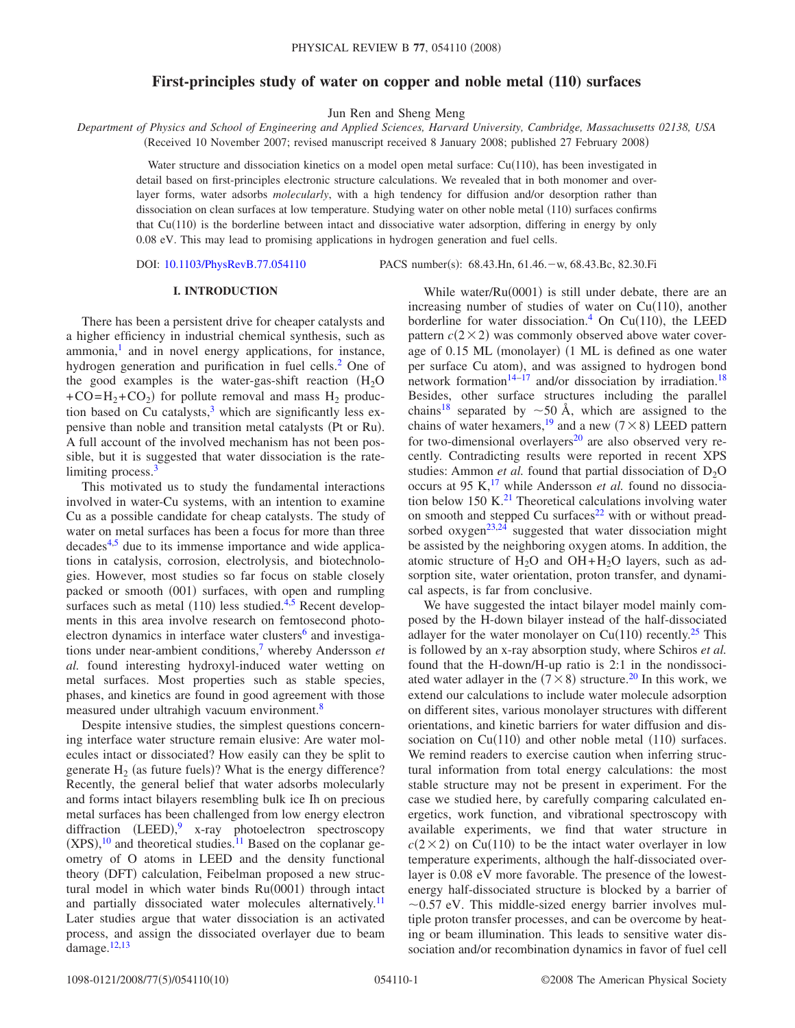# **First-principles study of water on copper and noble metal (110) surfaces**

Jun Ren and Sheng Meng

*Department of Physics and School of Engineering and Applied Sciences, Harvard University, Cambridge, Massachusetts 02138, USA*

(Received 10 November 2007; revised manuscript received 8 January 2008; published 27 February 2008)

Water structure and dissociation kinetics on a model open metal surface: Cu(110), has been investigated in detail based on first-principles electronic structure calculations. We revealed that in both monomer and overlayer forms, water adsorbs *molecularly*, with a high tendency for diffusion and/or desorption rather than dissociation on clean surfaces at low temperature. Studying water on other noble metal (110) surfaces confirms that Cu(110) is the borderline between intact and dissociative water adsorption, differing in energy by only 0.08 eV. This may lead to promising applications in hydrogen generation and fuel cells.

DOI: [10.1103/PhysRevB.77.054110](http://dx.doi.org/10.1103/PhysRevB.77.054110)

PACS number(s): 68.43.Hn, 61.46. - w, 68.43.Bc, 82.30.Fi

## **I. INTRODUCTION**

There has been a persistent drive for cheaper catalysts and a higher efficiency in industrial chemical synthesis, such as  $ammonia<sup>1</sup>$  and in novel energy applications, for instance, hydrogen generation and purification in fuel cells.<sup>2</sup> One of the good examples is the water-gas-shift reaction  $(H_2O)$  $+CO=H_2+CO_2$ ) for pollute removal and mass  $H_2$  production based on Cu catalysts, $3$  which are significantly less expensive than noble and transition metal catalysts (Pt or Ru). A full account of the involved mechanism has not been possible, but it is suggested that water dissociation is the ratelimiting process.<sup>3</sup>

This motivated us to study the fundamental interactions involved in water-Cu systems, with an intention to examine Cu as a possible candidate for cheap catalysts. The study of water on metal surfaces has been a focus for more than three decades<sup>4[,5](#page-9-4)</sup> due to its immense importance and wide applications in catalysis, corrosion, electrolysis, and biotechnologies. However, most studies so far focus on stable closely packed or smooth (001) surfaces, with open and rumpling surfaces such as metal  $(110)$  less studied.<sup>4[,5](#page-9-4)</sup> Recent developments in this area involve research on femtosecond photoelectron dynamics in interface water clusters $6$  and investigations under near-ambient conditions[,7](#page-9-6) whereby Andersson *et al.* found interesting hydroxyl-induced water wetting on metal surfaces. Most properties such as stable species, phases, and kinetics are found in good agreement with those measured under ultrahigh vacuum environment.<sup>8</sup>

Despite intensive studies, the simplest questions concerning interface water structure remain elusive: Are water molecules intact or dissociated? How easily can they be split to generate  $H_2$  (as future fuels)? What is the energy difference? Recently, the general belief that water adsorbs molecularly and forms intact bilayers resembling bulk ice Ih on precious metal surfaces has been challenged from low energy electron diffraction (LEED),<sup>[9](#page-9-8)</sup> x-ray photoelectron spectroscopy  $(XPS)$ ,<sup>[10](#page-9-9)</sup> and theoretical studies.<sup>11</sup> Based on the coplanar geometry of O atoms in LEED and the density functional theory (DFT) calculation, Feibelman proposed a new structural model in which water binds Ru(0001) through intact and partially dissociated water molecules alternatively.<sup>11</sup> Later studies argue that water dissociation is an activated process, and assign the dissociated overlayer due to beam damage[.12,](#page-9-11)[13](#page-9-12)

While water/Ru(0001) is still under debate, there are an increasing number of studies of water on  $Cu(110)$ , another borderline for water dissociation.<sup>4</sup> On Cu(110), the LEED pattern  $c(2\times 2)$  was commonly observed above water coverage of 0.15 ML (monolayer) (1 ML is defined as one water per surface Cu atom), and was assigned to hydrogen bond network formation<sup>14–[17](#page-9-14)</sup> and/or dissociation by irradiation.<sup>18</sup> Besides, other surface structures including the parallel chains<sup>18</sup> separated by  $\sim$  50 Å, which are assigned to the chains of water hexamers,<sup>19</sup> and a new  $(7 \times 8)$  LEED pattern for two-dimensional overlayers<sup>20</sup> are also observed very recently. Contradicting results were reported in recent XPS studies: Ammon *et al.* found that partial dissociation of  $D_2O$ occurs at 95 K,<sup>17</sup> while Andersson *et al.* found no dissociation below 150 K. $^{21}$  Theoretical calculations involving water on smooth and stepped Cu surfaces $22$  with or without pread-sorbed oxygen<sup>23,[24](#page-9-21)</sup> suggested that water dissociation might be assisted by the neighboring oxygen atoms. In addition, the atomic structure of  $H_2O$  and  $OH + H_2O$  layers, such as adsorption site, water orientation, proton transfer, and dynamical aspects, is far from conclusive.

We have suggested the intact bilayer model mainly composed by the H-down bilayer instead of the half-dissociated adlayer for the water monolayer on  $Cu(110)$  recently.<sup>25</sup> This is followed by an x-ray absorption study, where Schiros *et al.* found that the H-down/H-up ratio is 2:1 in the nondissociated water adlayer in the  $(7 \times 8)$  structure.<sup>20</sup> In this work, we extend our calculations to include water molecule adsorption on different sites, various monolayer structures with different orientations, and kinetic barriers for water diffusion and dissociation on  $Cu(110)$  and other noble metal  $(110)$  surfaces. We remind readers to exercise caution when inferring structural information from total energy calculations: the most stable structure may not be present in experiment. For the case we studied here, by carefully comparing calculated energetics, work function, and vibrational spectroscopy with available experiments, we find that water structure in  $c(2\times 2)$  on Cu(110) to be the intact water overlayer in low temperature experiments, although the half-dissociated overlayer is 0.08 eV more favorable. The presence of the lowestenergy half-dissociated structure is blocked by a barrier of  $\sim$ 0.57 eV. This middle-sized energy barrier involves multiple proton transfer processes, and can be overcome by heating or beam illumination. This leads to sensitive water dissociation and/or recombination dynamics in favor of fuel cell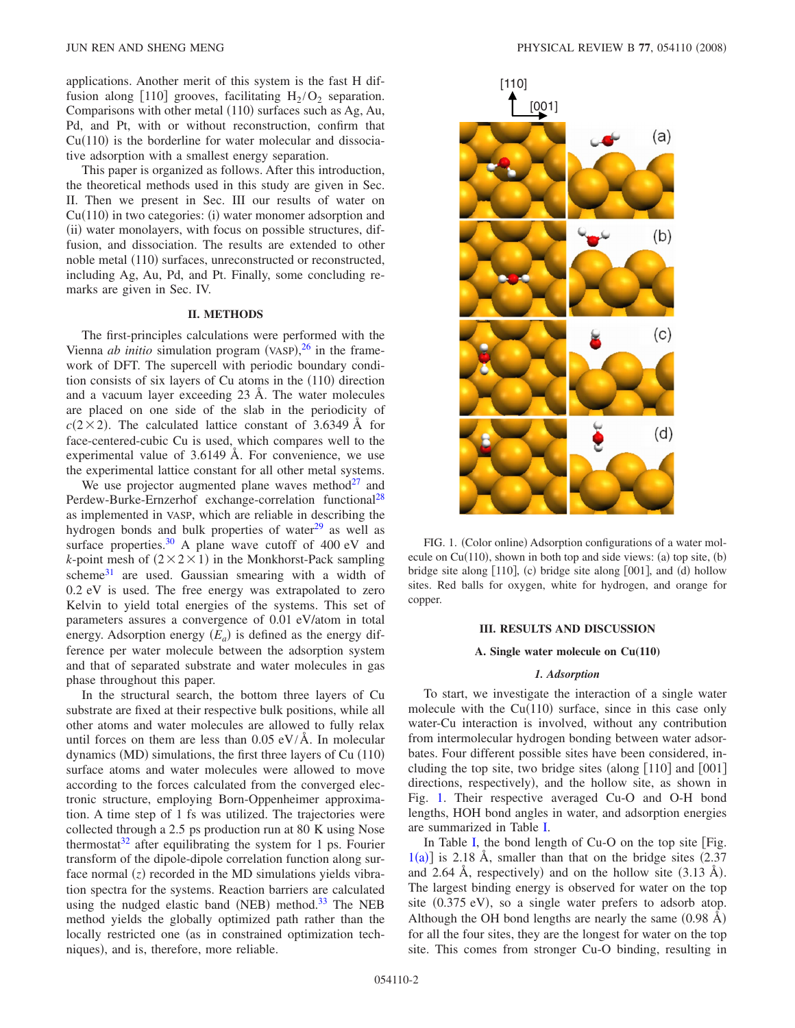applications. Another merit of this system is the fast H diffusion along [110] grooves, facilitating  $H_2/O_2$  separation. Comparisons with other metal (110) surfaces such as Ag, Au, Pd, and Pt, with or without reconstruction, confirm that  $Cu(110)$  is the borderline for water molecular and dissociative adsorption with a smallest energy separation.

This paper is organized as follows. After this introduction, the theoretical methods used in this study are given in Sec. II. Then we present in Sec. III our results of water on  $Cu(110)$  in two categories: (i) water monomer adsorption and (ii) water monolayers, with focus on possible structures, diffusion, and dissociation. The results are extended to other noble metal (110) surfaces, unreconstructed or reconstructed, including Ag, Au, Pd, and Pt. Finally, some concluding remarks are given in Sec. IV.

### **II. METHODS**

The first-principles calculations were performed with the Vienna *ab initio* simulation program (VASP), $^{26}$  $^{26}$  $^{26}$  in the framework of DFT. The supercell with periodic boundary condition consists of six layers of Cu atoms in the (110) direction and a vacuum layer exceeding 23 Å. The water molecules are placed on one side of the slab in the periodicity of  $c(2\times 2)$ . The calculated lattice constant of 3.6349 Å for face-centered-cubic Cu is used, which compares well to the experimental value of 3.6149 Å. For convenience, we use the experimental lattice constant for all other metal systems.

We use projector augmented plane waves method $27$  and Perdew-Burke-Ernzerhof exchange-correlation functional<sup>28</sup> as implemented in VASP, which are reliable in describing the hydrogen bonds and bulk properties of water $^{29}$  as well as surface properties.<sup>30</sup> A plane wave cutoff of 400 eV and *k*-point mesh of  $(2 \times 2 \times 1)$  in the Monkhorst-Pack sampling scheme<sup>31</sup> are used. Gaussian smearing with a width of 0.2 eV is used. The free energy was extrapolated to zero Kelvin to yield total energies of the systems. This set of parameters assures a convergence of 0.01 eV/atom in total energy. Adsorption energy  $(E_a)$  is defined as the energy difference per water molecule between the adsorption system and that of separated substrate and water molecules in gas phase throughout this paper.

In the structural search, the bottom three layers of Cu substrate are fixed at their respective bulk positions, while all other atoms and water molecules are allowed to fully relax until forces on them are less than  $0.05 \text{ eV/A}$ . In molecular dynamics (MD) simulations, the first three layers of Cu (110) surface atoms and water molecules were allowed to move according to the forces calculated from the converged electronic structure, employing Born-Oppenheimer approximation. A time step of 1 fs was utilized. The trajectories were collected through a 2.5 ps production run at 80 K using Nose thermostat<sup>32</sup> after equilibrating the system for 1 ps. Fourier transform of the dipole-dipole correlation function along surface normal  $(z)$  recorded in the MD simulations yields vibration spectra for the systems. Reaction barriers are calculated using the nudged elastic band (NEB) method.<sup>33</sup> The NEB method yields the globally optimized path rather than the locally restricted one (as in constrained optimization techniques), and is, therefore, more reliable.

<span id="page-1-0"></span>

FIG. 1. (Color online) Adsorption configurations of a water molecule on  $Cu(110)$ , shown in both top and side views: (a) top site, (b) bridge site along [110], (c) bridge site along [001], and (d) hollow sites. Red balls for oxygen, white for hydrogen, and orange for copper.

# **III. RESULTS AND DISCUSSION**

### **A. Single water molecule on Cu(110)**

## *1. Adsorption*

To start, we investigate the interaction of a single water molecule with the  $Cu(110)$  surface, since in this case only water-Cu interaction is involved, without any contribution from intermolecular hydrogen bonding between water adsorbates. Four different possible sites have been considered, including the top site, two bridge sites (along  $\lceil 110 \rceil$  and  $\lceil 001 \rceil$ directions, respectively), and the hollow site, as shown in Fig. [1.](#page-1-0) Their respective averaged Cu-O and O-H bond lengths, HOH bond angles in water, and adsorption energies are summarized in Table [I.](#page-2-0)

In Table [I,](#page-2-0) the bond length of  $Cu-O$  on the top site [Fig.  $1(a)$  $1(a)$ ] is 2.18 Å, smaller than that on the bridge sites (2.37) and 2.64 Å, respectively) and on the hollow site  $(3.13 \text{ Å})$ . The largest binding energy is observed for water on the top site (0.375 eV), so a single water prefers to adsorb atop. Although the OH bond lengths are nearly the same  $(0.98 \text{ Å})$ for all the four sites, they are the longest for water on the top site. This comes from stronger Cu-O binding, resulting in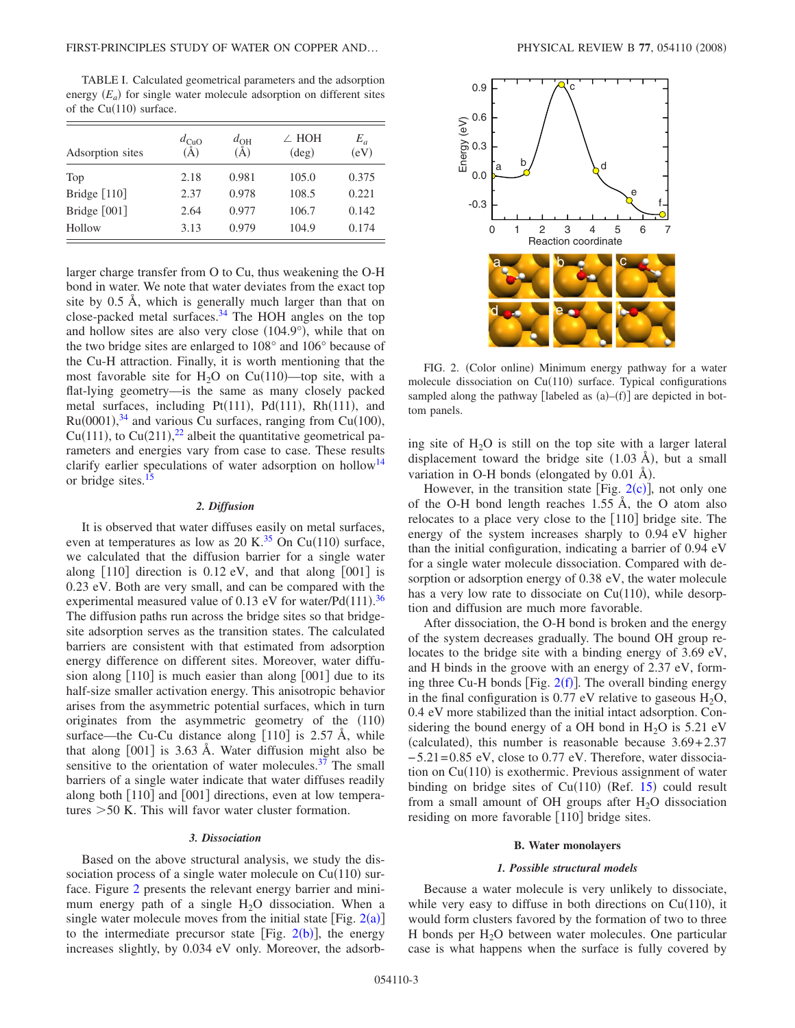<span id="page-2-0"></span>TABLE I. Calculated geometrical parameters and the adsorption energy  $(E_a)$  for single water molecule adsorption on different sites of the Cu(110) surface.

| Adsorption sites | $d_{\text{CuO}}$<br>(A | $a_{OH}$<br>A) | $\angle$ HOH<br>$(\text{deg})$ | $E_a$<br>(eV) |
|------------------|------------------------|----------------|--------------------------------|---------------|
| Top              | 2.18                   | 0.981          | 105.0                          | 0.375         |
| Bridge [110]     | 2.37                   | 0.978          | 108.5                          | 0.221         |
| Bridge [001]     | 2.64                   | 0.977          | 106.7                          | 0.142         |
| Hollow           | 3.13                   | 0.979          | 104.9                          | 0.174         |
|                  |                        |                |                                |               |

larger charge transfer from O to Cu, thus weakening the O-H bond in water. We note that water deviates from the exact top site by 0.5 Å, which is generally much larger than that on close-packed metal surfaces.<sup>34</sup> The HOH angles on the top and hollow sites are also very close (104.9°), while that on the two bridge sites are enlarged to 108° and 106° because of the Cu-H attraction. Finally, it is worth mentioning that the most favorable site for  $H_2O$  on  $Cu(110)$ —top site, with a flat-lying geometry—is the same as many closely packed metal surfaces, including Pt(111), Pd(111), Rh(111), and  $Ru(0001),<sup>34</sup>$  $Ru(0001),<sup>34</sup>$  $Ru(0001),<sup>34</sup>$  and various Cu surfaces, ranging from Cu(100), Cu(111), to Cu(211),<sup>[22](#page-9-19)</sup> albeit the quantitative geometrical parameters and energies vary from case to case. These results clarify earlier speculations of water adsorption on hollow<sup>14</sup> or bridge sites. $<sup>1</sup>$ </sup>

#### *2. Diffusion*

It is observed that water diffuses easily on metal surfaces, even at temperatures as low as 20 K.<sup>35</sup> On Cu(110) surface, we calculated that the diffusion barrier for a single water along  $\lceil 110 \rceil$  direction is 0.12 eV, and that along  $\lceil 001 \rceil$  is 0.23 eV. Both are very small, and can be compared with the experimental measured value of 0.13 eV for water/Pd $(111).$ <sup>[36](#page-9-34)</sup> The diffusion paths run across the bridge sites so that bridgesite adsorption serves as the transition states. The calculated barriers are consistent with that estimated from adsorption energy difference on different sites. Moreover, water diffusion along  $[110]$  is much easier than along  $[001]$  due to its half-size smaller activation energy. This anisotropic behavior arises from the asymmetric potential surfaces, which in turn originates from the asymmetric geometry of the (110) surface—the Cu-Cu distance along  $[110]$  is 2.57 Å, while that along  $[001]$  is 3.63 Å. Water diffusion might also be sensitive to the orientation of water molecules. $37$  The small barriers of a single water indicate that water diffuses readily along both  $[110]$  and  $[001]$  directions, even at low temperatures 50 K. This will favor water cluster formation.

## *3. Dissociation*

Based on the above structural analysis, we study the dissociation process of a single water molecule on  $Cu(110)$  surface. Figure [2](#page-2-1) presents the relevant energy barrier and minimum energy path of a single  $H_2O$  dissociation. When a single water molecule moves from the initial state [Fig.  $2(a)$  $2(a)$ ] to the intermediate precursor state [Fig.  $2(b)$  $2(b)$ ], the energy increases slightly, by 0.034 eV only. Moreover, the adsorb-

<span id="page-2-1"></span>

FIG. 2. (Color online) Minimum energy pathway for a water molecule dissociation on Cu(110) surface. Typical configurations sampled along the pathway [labeled as  $(a)$ - $(f)$ ] are depicted in bottom panels.

ing site of  $H<sub>2</sub>O$  is still on the top site with a larger lateral displacement toward the bridge site  $(1.03 \text{ Å})$ , but a small variation in O-H bonds (elongated by  $0.01 \text{ Å}$ ).

However, in the transition state [Fig.  $2(c)$  $2(c)$ ], not only one of the O-H bond length reaches 1.55 Å, the O atom also relocates to a place very close to the  $[110]$  bridge site. The energy of the system increases sharply to 0.94 eV higher than the initial configuration, indicating a barrier of 0.94 eV for a single water molecule dissociation. Compared with desorption or adsorption energy of 0.38 eV, the water molecule has a very low rate to dissociate on  $Cu(110)$ , while desorption and diffusion are much more favorable.

After dissociation, the O-H bond is broken and the energy of the system decreases gradually. The bound OH group relocates to the bridge site with a binding energy of 3.69 eV, and H binds in the groove with an energy of 2.37 eV, forming three Cu-H bonds [Fig.  $2(f)$  $2(f)$ ]. The overall binding energy in the final configuration is 0.77 eV relative to gaseous  $H_2O$ , 0.4 eV more stabilized than the initial intact adsorption. Considering the bound energy of a OH bond in  $H_2O$  is 5.21 eV (calculated), this number is reasonable because  $3.69 + 2.37$ − 5.21= 0.85 eV, close to 0.77 eV. Therefore, water dissociation on  $Cu(110)$  is exothermic. Previous assignment of water binding on bridge sites of  $Cu(110)$  (Ref. [15](#page-9-32)) could result from a small amount of OH groups after  $H_2O$  dissociation residing on more favorable [110] bridge sites.

#### **B. Water monolayers**

## *1. Possible structural models*

Because a water molecule is very unlikely to dissociate, while very easy to diffuse in both directions on  $Cu(110)$ , it would form clusters favored by the formation of two to three H bonds per  $H_2O$  between water molecules. One particular case is what happens when the surface is fully covered by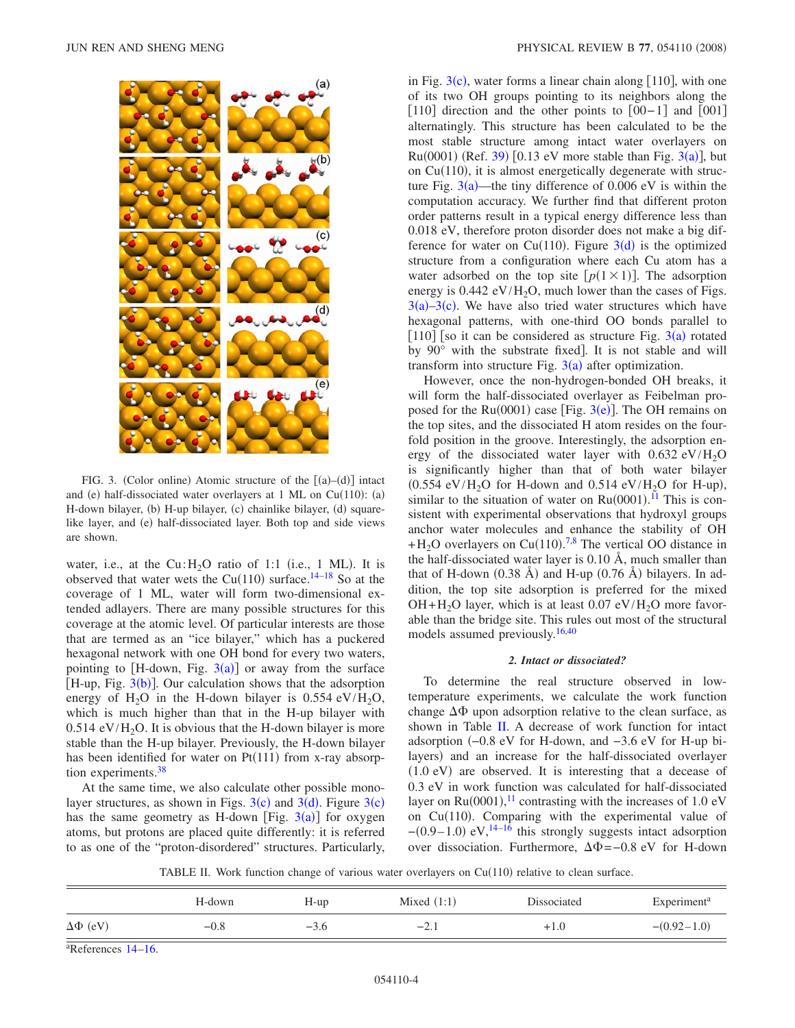<span id="page-3-0"></span>

FIG. 3. (Color online) Atomic structure of the  $[(a)–(d)]$  intact and (e) half-dissociated water overlayers at 1 ML on Cu(110): (a) H-down bilayer, (b) H-up bilayer, (c) chainlike bilayer, (d) squarelike layer, and (e) half-dissociated layer. Both top and side views are shown.

water, i.e., at the  $Cu:H<sub>2</sub>O$  ratio of 1:1 (i.e., 1 ML). It is observed that water wets the  $Cu(110)$  surface.<sup>14–[18](#page-9-15)</sup> So at the coverage of 1 ML, water will form two-dimensional extended adlayers. There are many possible structures for this coverage at the atomic level. Of particular interests are those that are termed as an "ice bilayer," which has a puckered hexagonal network with one OH bond for every two waters, pointing to  $[H-down, Fig. 3(a)]$  $[H-down, Fig. 3(a)]$  $[H-down, Fig. 3(a)]$  or away from the surface [H-up, Fig.  $3(b)$  $3(b)$ ]. Our calculation shows that the adsorption energy of  $H_2O$  in the H-down bilayer is 0.554 eV/ $H_2O$ , which is much higher than that in the H-up bilayer with  $0.514$  eV/H<sub>2</sub>O. It is obvious that the H-down bilayer is more stable than the H-up bilayer. Previously, the H-down bilayer has been identified for water on  $Pt(111)$  from x-ray absorption experiments.<sup>38</sup>

At the same time, we also calculate other possible monolayer structures, as shown in Figs.  $3(c)$  $3(c)$  and  $3(d)$ . Figure  $3(c)$ has the same geometry as H-down [Fig.  $3(a)$  $3(a)$ ] for oxygen atoms, but protons are placed quite differently: it is referred to as one of the "proton-disordered" structures. Particularly,

in Fig.  $3(c)$  $3(c)$ , water forms a linear chain along [110], with one of its two OH groups pointing to its neighbors along the [110] direction and the other points to  $[00-1]$  and  $[001]$ alternatingly. This structure has been calculated to be the most stable structure among intact water overlayers on Ru(0001) (Ref. [39](#page-9-37)) [0.1[3](#page-3-0) eV more stable than Fig. 3(a)], but on  $Cu(110)$ , it is almost energetically degenerate with structure Fig.  $3(a)$  $3(a)$ —the tiny difference of 0.006 eV is within the computation accuracy. We further find that different proton order patterns result in a typical energy difference less than 0.018 eV, therefore proton disorder does not make a big difference for water on Cu(110). Figure  $3(d)$  $3(d)$  is the optimized structure from a configuration where each Cu atom has a water adsorbed on the top site  $[p(1 \times 1)]$ . The adsorption energy is  $0.442 \text{ eV/H}_2\text{O}$ , much lower than the cases of Figs.  $3(a) - 3(c)$  $3(a) - 3(c)$ . We have also tried water structures which have hexagonal patterns, with one-third OO bonds parallel to [110] [so it can be considered as structure Fig.  $3(a)$  $3(a)$  rotated by  $90^\circ$  with the substrate fixed. It is not stable and will transform into structure Fig.  $3(a)$  $3(a)$  after optimization.

However, once the non-hydrogen-bonded OH breaks, it will form the half-dissociated overlayer as Feibelman proposed for the  $Ru(0001)$  case [Fig. [3](#page-3-0)(e)]. The OH remains on the top sites, and the dissociated H atom resides on the fourfold position in the groove. Interestingly, the adsorption energy of the dissociated water layer with  $0.632 \text{ eV/H}_2\text{O}$ is significantly higher than that of both water bilayer  $(0.554 \text{ eV}/\text{H}_2\text{O}$  for H-down and  $0.514 \text{ eV}/\text{H}_2\text{O}$  for H-up), similar to the situation of water on  $Ru(0001)$ .<sup>[11](#page-9-10)</sup> This is consistent with experimental observations that hydroxyl groups anchor water molecules and enhance the stability of OH  $+H<sub>2</sub>O$  overlayers on Cu(110).<sup>[7](#page-9-6)[,8](#page-9-7)</sup> The vertical OO distance in the half-dissociated water layer is 0.10 Å, much smaller than that of H-down  $(0.38 \text{ Å})$  and H-up  $(0.76 \text{ Å})$  bilayers. In addition, the top site adsorption is preferred for the mixed  $OH + H<sub>2</sub>O$  layer, which is at least 0.07 eV/ $H<sub>2</sub>O$  more favorable than the bridge site. This rules out most of the structural models assumed previously.<sup>16[,40](#page-9-39)</sup>

## *2. Intact or dissociated?*

To determine the real structure observed in lowtemperature experiments, we calculate the work function change  $\Delta\Phi$  upon adsorption relative to the clean surface, as shown in Table [II.](#page-3-1) A decrease of work function for intact adsorption −0.8 eV for H-down, and −3.6 eV for H-up bilayers) and an increase for the half-dissociated overlayer (1.0 eV) are observed. It is interesting that a decease of 0.3 eV in work function was calculated for half-dissociated layer on  $Ru(0001)$ ,<sup>[11](#page-9-10)</sup> contrasting with the increases of 1.0 eV on Cu(110). Comparing with the experimental value of  $-(0.9-1.0)$  eV,<sup>14[–16](#page-9-38)</sup> this strongly suggests intact adsorption over dissociation. Furthermore,  $\Delta\Phi$  =−0.8 eV for H-down

TABLE II. Work function change of various water overlayers on Cu(110) relative to clean surface.

<span id="page-3-1"></span>

|                   | H-down | $H-up$ | Mixed $(1:1)$ | Dissociated | Experiment <sup>a</sup> |
|-------------------|--------|--------|---------------|-------------|-------------------------|
| $\Delta\Phi$ (eV) | $-0.8$ | $-3.6$ | $-2.1$        | $+1.0$      | $-(0.92-1.0)$           |

a References [14](#page-9-13)[–16.](#page-9-38)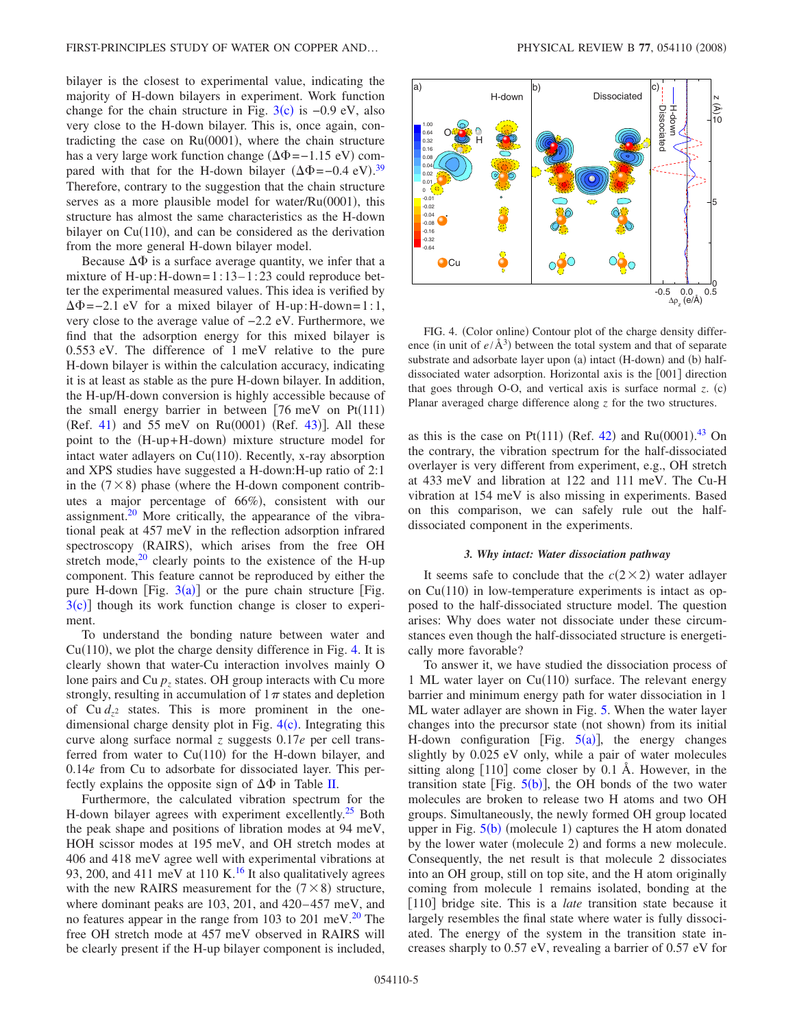bilayer is the closest to experimental value, indicating the majority of H-down bilayers in experiment. Work function change for the chain structure in Fig.  $3(c)$  $3(c)$  is  $-0.9$  eV, also very close to the H-down bilayer. This is, once again, contradicting the case on  $Ru(0001)$ , where the chain structure has a very large work function change  $(\Delta \Phi = -1.15 \text{ eV})$  compared with that for the H-down bilayer  $(\Delta \Phi = -0.4 \text{ eV})$ .<sup>[39](#page-9-37)</sup> Therefore, contrary to the suggestion that the chain structure serves as a more plausible model for water/Ru(0001), this structure has almost the same characteristics as the H-down bilayer on  $Cu(110)$ , and can be considered as the derivation from the more general H-down bilayer model.

Because  $\Delta\Phi$  is a surface average quantity, we infer that a mixture of H-up: H-down= $1: 13-1: 23$  could reproduce better the experimental measured values. This idea is verified by  $\Delta \Phi$  = -2.1 eV for a mixed bilayer of H-up: H-down=1:1, very close to the average value of −2.2 eV. Furthermore, we find that the adsorption energy for this mixed bilayer is 0.553 eV. The difference of 1 meV relative to the pure H-down bilayer is within the calculation accuracy, indicating it is at least as stable as the pure H-down bilayer. In addition, the H-up/H-down conversion is highly accessible because of the small energy barrier in between  $[76 \text{ meV}$  on  $Pt(111)$  $(Ref. 41)$  $(Ref. 41)$  $(Ref. 41)$  and 55 meV on Ru $(0001)$   $(Ref. 43)$  $(Ref. 43)$  $(Ref. 43)$ ]. All these point to the (H-up+H-down) mixture structure model for intact water adlayers on Cu(110). Recently, x-ray absorption and XPS studies have suggested a H-down:H-up ratio of 2:1 in the  $(7 \times 8)$  phase (where the H-down component contributes a major percentage of 66%), consistent with our assignment.<sup>20</sup> More critically, the appearance of the vibrational peak at 457 meV in the reflection adsorption infrared spectroscopy (RAIRS), which arises from the free OH stretch mode, $20$  clearly points to the existence of the H-up component. This feature cannot be reproduced by either the pure H-down [Fig.  $3(a)$  $3(a)$ ] or the pure chain structure [Fig.  $3(c)$  $3(c)$ ] though its work function change is closer to experiment.

To understand the bonding nature between water and  $Cu(110)$ , we plot the charge density difference in Fig. [4.](#page-4-0) It is clearly shown that water-Cu interaction involves mainly O lone pairs and Cu  $p<sub>z</sub>$  states. OH group interacts with Cu more strongly, resulting in accumulation of  $1\pi$  states and depletion of  $Cu$   $d_{72}$  states. This is more prominent in the onedimensional charge density plot in Fig.  $4(c)$  $4(c)$ . Integrating this curve along surface normal *z* suggests 0.17*e* per cell transferred from water to  $Cu(110)$  for the H-down bilayer, and 0.14*e* from Cu to adsorbate for dissociated layer. This perfectly explains the opposite sign of  $\Delta\Phi$  in Table [II.](#page-3-1)

Furthermore, the calculated vibration spectrum for the H-down bilayer agrees with experiment excellently.<sup>25</sup> Both the peak shape and positions of libration modes at 94 meV, HOH scissor modes at 195 meV, and OH stretch modes at 406 and 418 meV agree well with experimental vibrations at 93, 200, and 411 meV at 110 K.<sup>16</sup> It also qualitatively agrees with the new RAIRS measurement for the  $(7 \times 8)$  structure, where dominant peaks are 103, 201, and 420–457 meV, and no features appear in the range from 103 to 201 meV. $^{20}$  The free OH stretch mode at 457 meV observed in RAIRS will be clearly present if the H-up bilayer component is included,

<span id="page-4-0"></span>

FIG. 4. (Color online) Contour plot of the charge density difference (in unit of  $e/\text{\AA}^3$ ) between the total system and that of separate substrate and adsorbate layer upon (a) intact (H-down) and (b) halfdissociated water adsorption. Horizontal axis is the [001] direction that goes through O-O, and vertical axis is surface normal *z*. (c) Planar averaged charge difference along *z* for the two structures.

as this is the case on Pt(111) (Ref. [42](#page-9-42)) and Ru(0001).<sup>[43](#page-9-41)</sup> On the contrary, the vibration spectrum for the half-dissociated overlayer is very different from experiment, e.g., OH stretch at 433 meV and libration at 122 and 111 meV. The Cu-H vibration at 154 meV is also missing in experiments. Based on this comparison, we can safely rule out the halfdissociated component in the experiments.

### *3. Why intact: Water dissociation pathway*

It seems safe to conclude that the  $c(2\times 2)$  water adlayer on  $Cu(110)$  in low-temperature experiments is intact as opposed to the half-dissociated structure model. The question arises: Why does water not dissociate under these circumstances even though the half-dissociated structure is energetically more favorable?

To answer it, we have studied the dissociation process of 1 ML water layer on  $Cu(110)$  surface. The relevant energy barrier and minimum energy path for water dissociation in 1 ML water adlayer are shown in Fig. [5.](#page-5-0) When the water layer changes into the precursor state (not shown) from its initial H-down configuration [Fig.  $5(a)$  $5(a)$ ], the energy changes slightly by 0.025 eV only, while a pair of water molecules sitting along  $[110]$  come closer by 0.1 Å. However, in the transition state [Fig.  $5(b)$  $5(b)$ ], the OH bonds of the two water molecules are broken to release two H atoms and two OH groups. Simultaneously, the newly formed OH group located upper in Fig.  $5(b)$  $5(b)$  (molecule 1) captures the H atom donated by the lower water (molecule 2) and forms a new molecule. Consequently, the net result is that molecule 2 dissociates into an OH group, still on top site, and the H atom originally coming from molecule 1 remains isolated, bonding at the 110 bridge site. This is a *late* transition state because it largely resembles the final state where water is fully dissociated. The energy of the system in the transition state increases sharply to 0.57 eV, revealing a barrier of 0.57 eV for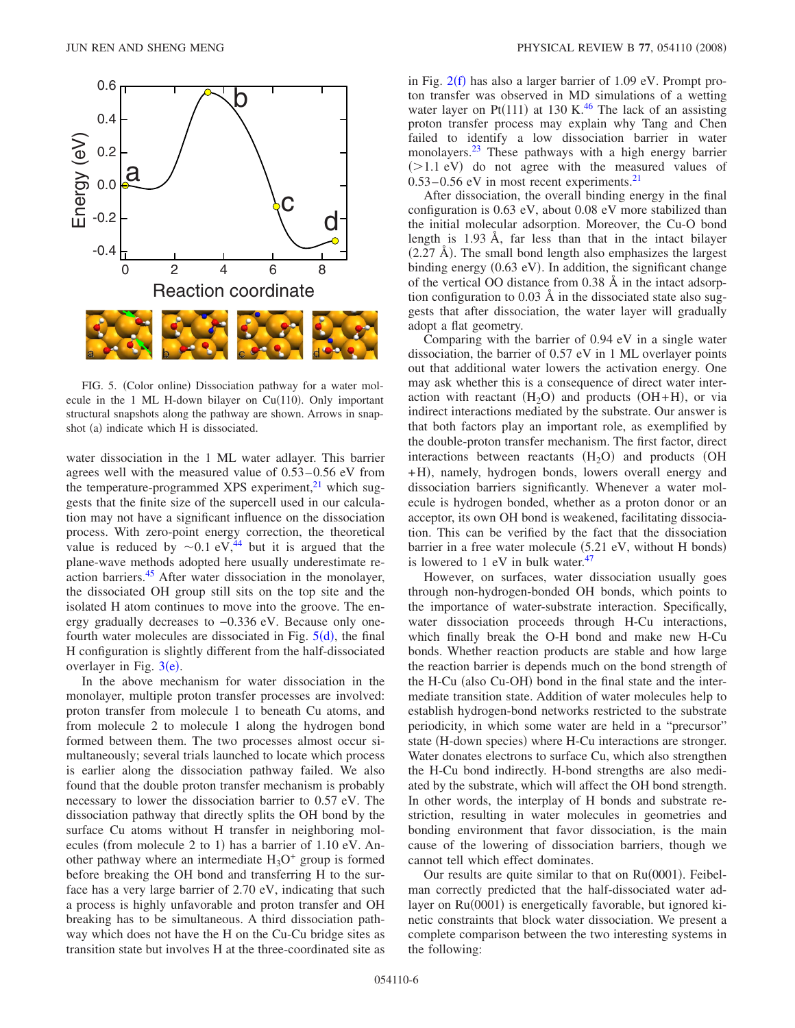<span id="page-5-0"></span>

FIG. 5. (Color online) Dissociation pathway for a water molecule in the 1 ML H-down bilayer on  $Cu(110)$ . Only important structural snapshots along the pathway are shown. Arrows in snapshot (a) indicate which H is dissociated.

water dissociation in the 1 ML water adlayer. This barrier agrees well with the measured value of  $0.53-0.56$  eV from the temperature-programmed XPS experiment, $^{21}$  which suggests that the finite size of the supercell used in our calculation may not have a significant influence on the dissociation process. With zero-point energy correction, the theoretical value is reduced by  $\sim 0.1$  eV,<sup>44</sup> but it is argued that the plane-wave methods adopted here usually underestimate reaction barriers[.45](#page-9-44) After water dissociation in the monolayer, the dissociated OH group still sits on the top site and the isolated H atom continues to move into the groove. The energy gradually decreases to −0.336 eV. Because only onefourth water molecules are dissociated in Fig.  $5(d)$  $5(d)$ , the final H configuration is slightly different from the half-dissociated overlayer in Fig.  $3(e)$  $3(e)$ .

In the above mechanism for water dissociation in the monolayer, multiple proton transfer processes are involved: proton transfer from molecule 1 to beneath Cu atoms, and from molecule 2 to molecule 1 along the hydrogen bond formed between them. The two processes almost occur simultaneously; several trials launched to locate which process is earlier along the dissociation pathway failed. We also found that the double proton transfer mechanism is probably necessary to lower the dissociation barrier to 0.57 eV. The dissociation pathway that directly splits the OH bond by the surface Cu atoms without H transfer in neighboring molecules (from molecule 2 to 1) has a barrier of 1.10 eV. Another pathway where an intermediate  $H_3O^+$  group is formed before breaking the OH bond and transferring H to the surface has a very large barrier of 2.70 eV, indicating that such a process is highly unfavorable and proton transfer and OH breaking has to be simultaneous. A third dissociation pathway which does not have the H on the Cu-Cu bridge sites as transition state but involves H at the three-coordinated site as

in Fig.  $2(f)$  $2(f)$  has also a larger barrier of 1.09 eV. Prompt proton transfer was observed in MD simulations of a wetting water layer on Pt $(111)$  at 130 K.<sup>46</sup> The lack of an assisting proton transfer process may explain why Tang and Chen failed to identify a low dissociation barrier in water monolayers[.23](#page-9-20) These pathways with a high energy barrier  $(>1.1$  eV) do not agree with the measured values of  $0.53-0.56$  eV in most recent experiments.<sup>21</sup>

After dissociation, the overall binding energy in the final configuration is 0.63 eV, about 0.08 eV more stabilized than the initial molecular adsorption. Moreover, the Cu-O bond length is 1.93 Å, far less than that in the intact bilayer  $(2.27 \text{ Å})$ . The small bond length also emphasizes the largest binding energy (0.63 eV). In addition, the significant change of the vertical OO distance from 0.38 Å in the intact adsorption configuration to 0.03 Å in the dissociated state also suggests that after dissociation, the water layer will gradually adopt a flat geometry.

Comparing with the barrier of 0.94 eV in a single water dissociation, the barrier of 0.57 eV in 1 ML overlayer points out that additional water lowers the activation energy. One may ask whether this is a consequence of direct water interaction with reactant  $(H_2O)$  and products  $(OH+H)$ , or via indirect interactions mediated by the substrate. Our answer is that both factors play an important role, as exemplified by the double-proton transfer mechanism. The first factor, direct interactions between reactants  $(H_2O)$  and products (OH +H), namely, hydrogen bonds, lowers overall energy and dissociation barriers significantly. Whenever a water molecule is hydrogen bonded, whether as a proton donor or an acceptor, its own OH bond is weakened, facilitating dissociation. This can be verified by the fact that the dissociation barrier in a free water molecule (5.21 eV, without H bonds) is lowered to  $1$  eV in bulk water.<sup>47</sup>

However, on surfaces, water dissociation usually goes through non-hydrogen-bonded OH bonds, which points to the importance of water-substrate interaction. Specifically, water dissociation proceeds through H-Cu interactions, which finally break the O-H bond and make new H-Cu bonds. Whether reaction products are stable and how large the reaction barrier is depends much on the bond strength of the H-Cu (also Cu-OH) bond in the final state and the intermediate transition state. Addition of water molecules help to establish hydrogen-bond networks restricted to the substrate periodicity, in which some water are held in a "precursor" state (H-down species) where H-Cu interactions are stronger. Water donates electrons to surface Cu, which also strengthen the H-Cu bond indirectly. H-bond strengths are also mediated by the substrate, which will affect the OH bond strength. In other words, the interplay of H bonds and substrate restriction, resulting in water molecules in geometries and bonding environment that favor dissociation, is the main cause of the lowering of dissociation barriers, though we cannot tell which effect dominates.

Our results are quite similar to that on Ru(0001). Feibelman correctly predicted that the half-dissociated water adlayer on Ru(0001) is energetically favorable, but ignored kinetic constraints that block water dissociation. We present a complete comparison between the two interesting systems in the following: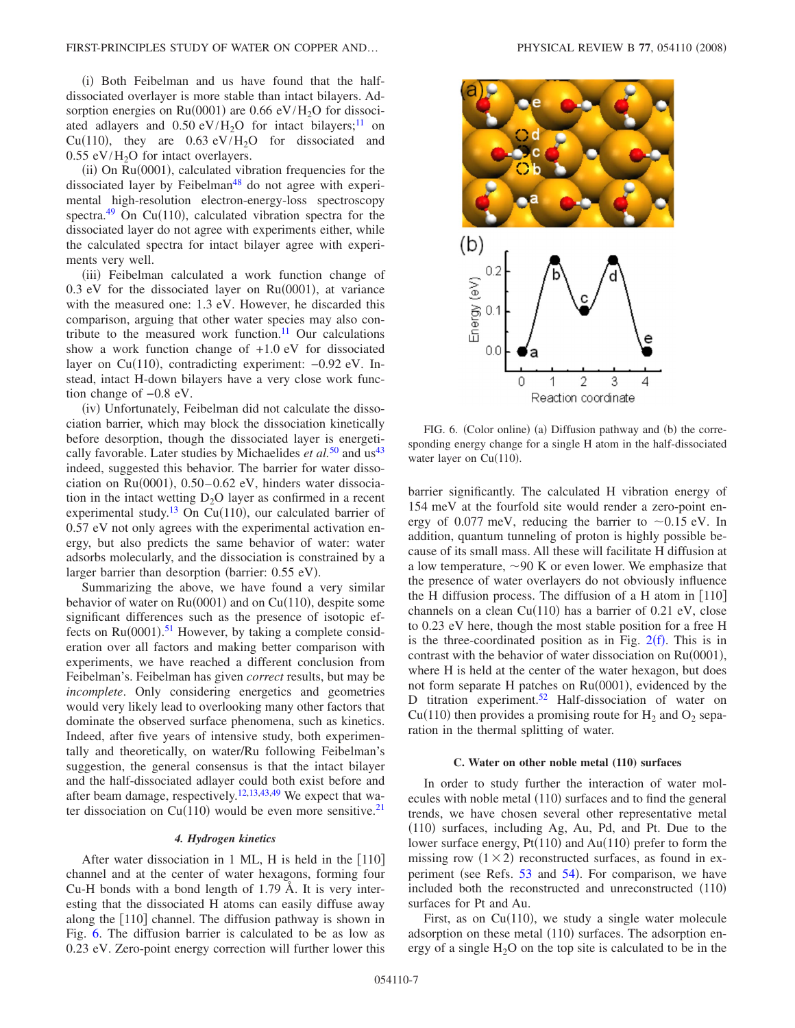(i) Both Feibelman and us have found that the halfdissociated overlayer is more stable than intact bilayers. Adsorption energies on  $Ru(0001)$  are 0.66 eV/ $H_2O$  for dissociated adlayers and  $0.50 \text{ eV/H}_2\text{O}$  for intact bilayers;<sup>11</sup> on Cu(110), they are  $0.63 \text{ eV/H}_2\text{O}$  for dissociated and  $0.55$  eV/H<sub>2</sub>O for intact overlayers.

(ii) On Ru(0001), calculated vibration frequencies for the dissociated layer by Feibelman<sup>48</sup> do not agree with experimental high-resolution electron-energy-loss spectroscopy spectra.<sup>49</sup> On Cu(110), calculated vibration spectra for the dissociated layer do not agree with experiments either, while the calculated spectra for intact bilayer agree with experiments very well.

(iii) Feibelman calculated a work function change of  $0.3$  eV for the dissociated layer on Ru(0001), at variance with the measured one: 1.3 eV. However, he discarded this comparison, arguing that other water species may also contribute to the measured work function.<sup>11</sup> Our calculations show a work function change of  $+1.0$  eV for dissociated layer on Cu(110), contradicting experiment: -0.92 eV. Instead, intact H-down bilayers have a very close work function change of −0.8 eV.

(iv) Unfortunately, Feibelman did not calculate the dissociation barrier, which may block the dissociation kinetically before desorption, though the dissociated layer is energetically favorable. Later studies by Michaelides *et al.*<sup>[50](#page-9-49)</sup> and us<sup>43</sup> indeed, suggested this behavior. The barrier for water dissociation on Ru(0001), 0.50-0.62 eV, hinders water dissociation in the intact wetting  $D_2O$  layer as confirmed in a recent experimental study.<sup>13</sup> On Cu(110), our calculated barrier of 0.57 eV not only agrees with the experimental activation energy, but also predicts the same behavior of water: water adsorbs molecularly, and the dissociation is constrained by a larger barrier than desorption (barrier: 0.55 eV).

Summarizing the above, we have found a very similar behavior of water on  $Ru(0001)$  and on  $Cu(110)$ , despite some significant differences such as the presence of isotopic effects on  $Ru(0001)$ .<sup>[51](#page-9-50)</sup> However, by taking a complete consideration over all factors and making better comparison with experiments, we have reached a different conclusion from Feibelman's. Feibelman has given *correct* results, but may be *incomplete*. Only considering energetics and geometries would very likely lead to overlooking many other factors that dominate the observed surface phenomena, such as kinetics. Indeed, after five years of intensive study, both experimentally and theoretically, on water/Ru following Feibelman's suggestion, the general consensus is that the intact bilayer and the half-dissociated adlayer could both exist before and after beam damage, respectively.<sup>12,[13,](#page-9-12)[43,](#page-9-41)[49](#page-9-48)</sup> We expect that water dissociation on Cu(110) would be even more sensitive.<sup>21</sup>

#### *4. Hydrogen kinetics*

After water dissociation in 1 ML, H is held in the  $[110]$ channel and at the center of water hexagons, forming four Cu-H bonds with a bond length of 1.79 Å. It is very interesting that the dissociated H atoms can easily diffuse away along the  $[110]$  channel. The diffusion pathway is shown in Fig. [6.](#page-6-0) The diffusion barrier is calculated to be as low as 0.23 eV. Zero-point energy correction will further lower this

<span id="page-6-0"></span>

FIG. 6. (Color online) (a) Diffusion pathway and (b) the corresponding energy change for a single H atom in the half-dissociated water layer on Cu(110).

barrier significantly. The calculated H vibration energy of 154 meV at the fourfold site would render a zero-point energy of 0.077 meV, reducing the barrier to  $\sim$ 0.15 eV. In addition, quantum tunneling of proton is highly possible because of its small mass. All these will facilitate H diffusion at a low temperature,  $\sim$ 90 K or even lower. We emphasize that the presence of water overlayers do not obviously influence the H diffusion process. The diffusion of a H atom in  $[110]$ channels on a clean  $Cu(110)$  has a barrier of 0.21 eV, close to 0.23 eV here, though the most stable position for a free H is the three-coordinated position as in Fig.  $2(f)$  $2(f)$ . This is in contrast with the behavior of water dissociation on  $Ru(0001)$ , where H is held at the center of the water hexagon, but does not form separate H patches on Ru(0001), evidenced by the D titration experiment.<sup>52</sup> Half-dissociation of water on Cu(110) then provides a promising route for  $H_2$  and  $O_2$  separation in the thermal splitting of water.

## **C. Water on other noble metal (110) surfaces**

In order to study further the interaction of water molecules with noble metal (110) surfaces and to find the general trends, we have chosen several other representative metal (110) surfaces, including Ag, Au, Pd, and Pt. Due to the lower surface energy,  $Pt(110)$  and  $Au(110)$  prefer to form the missing row  $(1 \times 2)$  reconstructed surfaces, as found in ex-periment (see Refs. [53](#page-9-52) and [54](#page-9-53)). For comparison, we have included both the reconstructed and unreconstructed  $(110)$ surfaces for Pt and Au.

First, as on Cu $(110)$ , we study a single water molecule adsorption on these metal (110) surfaces. The adsorption energy of a single  $H_2O$  on the top site is calculated to be in the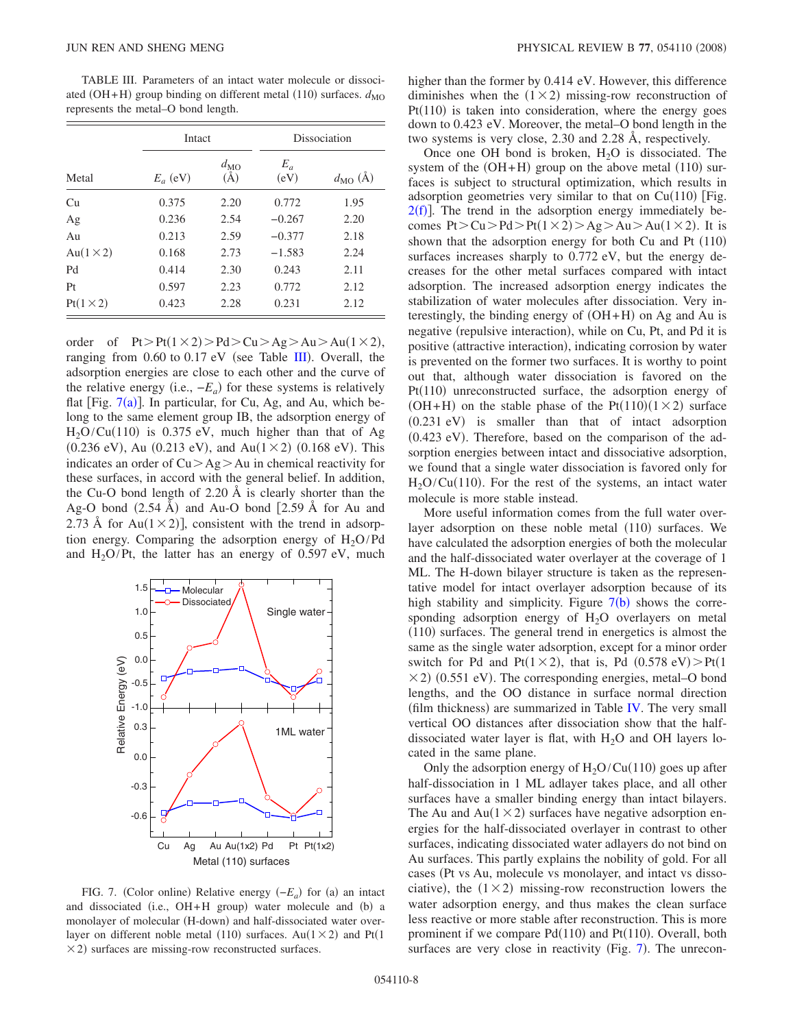<span id="page-7-0"></span>TABLE III. Parameters of an intact water molecule or dissociated (OH+H) group binding on different metal (110) surfaces.  $d_{\text{MO}}$ represents the metal–O bond length.

|                   | Intact     |                               | Dissociation  |                      |  |
|-------------------|------------|-------------------------------|---------------|----------------------|--|
| Metal             | $E_a$ (eV) | $d_{\rm MO}$<br>$(\check{A})$ | $E_a$<br>(eV) | $d_{\text{MO}}(\AA)$ |  |
| Cu                | 0.375      | 2.20                          | 0.772         | 1.95                 |  |
| Ag                | 0.236      | 2.54                          | $-0.267$      | 2.20                 |  |
| Au                | 0.213      | 2.59                          | $-0.377$      | 2.18                 |  |
| Au $(1 \times 2)$ | 0.168      | 2.73                          | $-1.583$      | 2.24                 |  |
| Pd                | 0.414      | 2.30                          | 0.243         | 2.11                 |  |
| Pt                | 0.597      | 2.23                          | 0.772         | 2.12                 |  |
| $Pt(1\times2)$    | 0.423      | 2.28                          | 0.231         | 2.12                 |  |

order of  $Pt > Pt(1 \times 2) > Pd > Cu > Ag > Au > Au(1 \times 2)$ , ranging from  $0.60$  to  $0.17$  eV (see Table [III](#page-7-0)). Overall, the adsorption energies are close to each other and the curve of the relative energy (i.e.,  $-E_a$ ) for these systems is relatively flat [Fig.  $7(a)$  $7(a)$ ]. In particular, for Cu, Ag, and Au, which belong to the same element group IB, the adsorption energy of  $H_2O/Cu(110)$  is 0.375 eV, much higher than that of Ag  $(0.236 \text{ eV})$ , Au  $(0.213 \text{ eV})$ , and Au $(1 \times 2)$   $(0.168 \text{ eV})$ . This indicates an order of  $Cu > Ag > Au$  in chemical reactivity for these surfaces, in accord with the general belief. In addition, the Cu-O bond length of 2.20 Å is clearly shorter than the Ag-O bond  $(2.54 \text{ Å})$  and Au-O bond  $[2.59 \text{ Å}$  for Au and 2.73 Å for Au( $1 \times 2$ ), consistent with the trend in adsorption energy. Comparing the adsorption energy of  $H_2O/Pd$ and  $H_2O/Pt$ , the latter has an energy of 0.597 eV, much

<span id="page-7-1"></span>

FIG. 7. (Color online) Relative energy  $(-E_a)$  for (a) an intact and dissociated (i.e., OH+H group) water molecule and (b) a monolayer of molecular (H-down) and half-dissociated water overlayer on different noble metal (110) surfaces. Au( $1 \times 2$ ) and Pt(1  $\times$  2) surfaces are missing-row reconstructed surfaces.

higher than the former by 0.414 eV. However, this difference diminishes when the  $(1 \times 2)$  missing-row reconstruction of  $Pt(110)$  is taken into consideration, where the energy goes down to 0.423 eV. Moreover, the metal–O bond length in the two systems is very close, 2.30 and 2.28 Å, respectively.

Once one OH bond is broken,  $H<sub>2</sub>O$  is dissociated. The system of the  $(OH+H)$  group on the above metal  $(110)$  surfaces is subject to structural optimization, which results in adsorption geometries very similar to that on  $Cu(110)$  [Fig.  $2(f)$  $2(f)$ ]. The trend in the adsorption energy immediately becomes  $Pt > Cu > Pd > Pt(1 \times 2) > Ag > Au > Au(1 \times 2)$ . It is shown that the adsorption energy for both Cu and Pt (110) surfaces increases sharply to 0.772 eV, but the energy decreases for the other metal surfaces compared with intact adsorption. The increased adsorption energy indicates the stabilization of water molecules after dissociation. Very interestingly, the binding energy of  $(OH+H)$  on Ag and Au is negative (repulsive interaction), while on Cu, Pt, and Pd it is positive (attractive interaction), indicating corrosion by water is prevented on the former two surfaces. It is worthy to point out that, although water dissociation is favored on the Pt(110) unreconstructed surface, the adsorption energy of (OH+H) on the stable phase of the Pt(110)( $1 \times 2$ ) surface (0.231 eV) is smaller than that of intact adsorption (0.423 eV). Therefore, based on the comparison of the adsorption energies between intact and dissociative adsorption, we found that a single water dissociation is favored only for  $H<sub>2</sub>O/Cu(110)$ . For the rest of the systems, an intact water molecule is more stable instead.

More useful information comes from the full water overlayer adsorption on these noble metal (110) surfaces. We have calculated the adsorption energies of both the molecular and the half-dissociated water overlayer at the coverage of 1 ML. The H-down bilayer structure is taken as the representative model for intact overlayer adsorption because of its high stability and simplicity. Figure  $7(b)$  $7(b)$  shows the corresponding adsorption energy of  $H_2O$  overlayers on metal (110) surfaces. The general trend in energetics is almost the same as the single water adsorption, except for a minor order switch for Pd and Pt( $1 \times 2$ ), that is, Pd (0.578 eV) > Pt( $1$  $\times$  2) (0.551 eV). The corresponding energies, metal–O bond lengths, and the OO distance in surface normal direction (film thickness) are summarized in Table [IV.](#page-8-0) The very small vertical OO distances after dissociation show that the halfdissociated water layer is flat, with  $H<sub>2</sub>O$  and OH layers located in the same plane.

Only the adsorption energy of  $H_2O/Cu(110)$  goes up after half-dissociation in 1 ML adlayer takes place, and all other surfaces have a smaller binding energy than intact bilayers. The Au and  $Au(1 \times 2)$  surfaces have negative adsorption energies for the half-dissociated overlayer in contrast to other surfaces, indicating dissociated water adlayers do not bind on Au surfaces. This partly explains the nobility of gold. For all cases (Pt vs Au, molecule vs monolayer, and intact vs dissociative), the  $(1 \times 2)$  missing-row reconstruction lowers the water adsorption energy, and thus makes the clean surface less reactive or more stable after reconstruction. This is more prominent if we compare  $Pd(110)$  and  $Pt(110)$ . Overall, both surfaces are very close in reactivity (Fig.  $7$ ). The unrecon-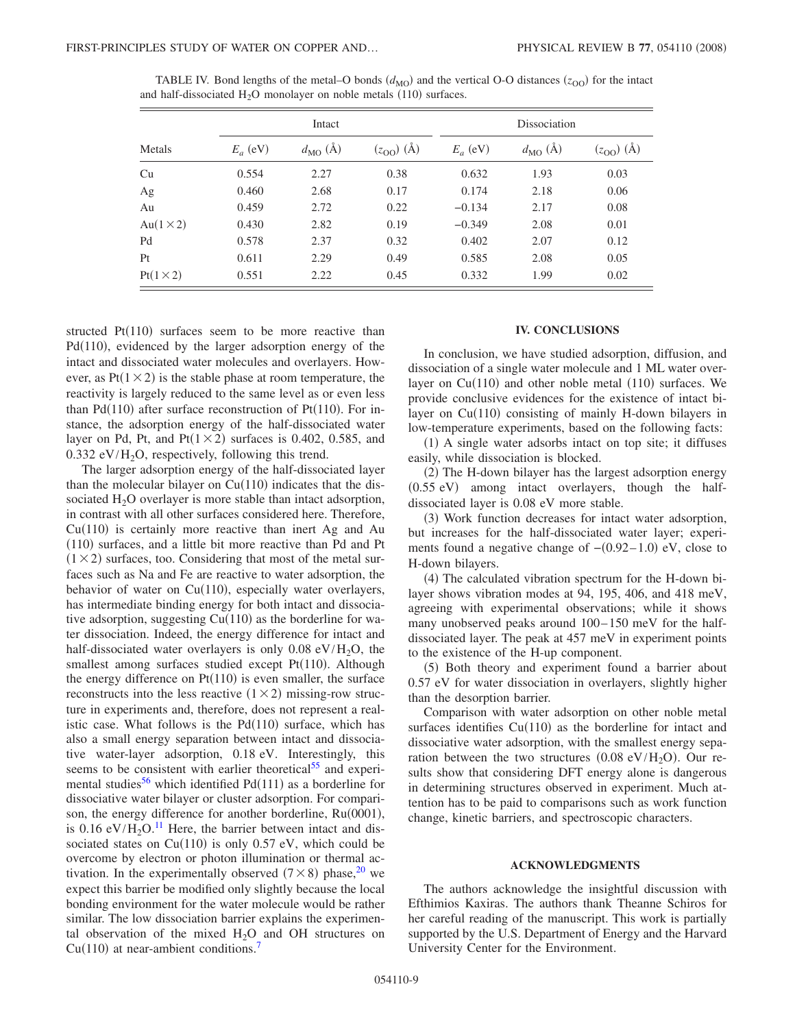|                   |            | Intact               |                | Dissociation |                      |                |
|-------------------|------------|----------------------|----------------|--------------|----------------------|----------------|
| Metals            | $E_a$ (eV) | $d_{\text{MO}}(\AA)$ | $(z_{00})$ (Å) | $E_a$ (eV)   | $d_{\text{MO}}(\AA)$ | $(z_{00})$ (Å) |
| Cu                | 0.554      | 2.27                 | 0.38           | 0.632        | 1.93                 | 0.03           |
| Ag                | 0.460      | 2.68                 | 0.17           | 0.174        | 2.18                 | 0.06           |
| Au                | 0.459      | 2.72                 | 0.22           | $-0.134$     | 2.17                 | 0.08           |
| Au $(1 \times 2)$ | 0.430      | 2.82                 | 0.19           | $-0.349$     | 2.08                 | 0.01           |
| Pd                | 0.578      | 2.37                 | 0.32           | 0.402        | 2.07                 | 0.12           |
| Pt                | 0.611      | 2.29                 | 0.49           | 0.585        | 2.08                 | 0.05           |
| $Pt(1\times2)$    | 0.551      | 2.22                 | 0.45           | 0.332        | 1.99                 | 0.02           |

<span id="page-8-0"></span>TABLE IV. Bond lengths of the metal–O bonds  $(d_{\text{MO}})$  and the vertical O-O distances  $(z_{\text{OO}})$  for the intact and half-dissociated  $H_2O$  monolayer on noble metals (110) surfaces.

structed  $Pt(110)$  surfaces seem to be more reactive than Pd(110), evidenced by the larger adsorption energy of the intact and dissociated water molecules and overlayers. However, as  $Pt(1 \times 2)$  is the stable phase at room temperature, the reactivity is largely reduced to the same level as or even less than Pd(110) after surface reconstruction of Pt(110). For instance, the adsorption energy of the half-dissociated water layer on Pd, Pt, and Pt $(1 \times 2)$  surfaces is 0.402, 0.585, and  $0.332$  eV/H<sub>2</sub>O, respectively, following this trend.

The larger adsorption energy of the half-dissociated layer than the molecular bilayer on  $Cu(110)$  indicates that the dissociated  $H_2O$  overlayer is more stable than intact adsorption, in contrast with all other surfaces considered here. Therefore,  $Cu(110)$  is certainly more reactive than inert Ag and Au (110) surfaces, and a little bit more reactive than Pd and Pt  $(1 \times 2)$  surfaces, too. Considering that most of the metal surfaces such as Na and Fe are reactive to water adsorption, the behavior of water on  $Cu(110)$ , especially water overlayers, has intermediate binding energy for both intact and dissociative adsorption, suggesting  $Cu(110)$  as the borderline for water dissociation. Indeed, the energy difference for intact and half-dissociated water overlayers is only  $0.08 \text{ eV/H}_2\text{O}$ , the smallest among surfaces studied except Pt(110). Although the energy difference on  $Pt(110)$  is even smaller, the surface reconstructs into the less reactive  $(1 \times 2)$  missing-row structure in experiments and, therefore, does not represent a realistic case. What follows is the  $Pd(110)$  surface, which has also a small energy separation between intact and dissociative water-layer adsorption, 0.18 eV. Interestingly, this seems to be consistent with earlier theoretical<sup>55</sup> and experimental studies<sup>56</sup> which identified  $Pd(111)$  as a borderline for dissociative water bilayer or cluster adsorption. For comparison, the energy difference for another borderline, Ru(0001), is  $0.16 \text{ eV}/\text{H}_2\text{O}$ .<sup>[11](#page-9-10)</sup> Here, the barrier between intact and dissociated states on  $Cu(110)$  is only 0.57 eV, which could be overcome by electron or photon illumination or thermal activation. In the experimentally observed  $(7 \times 8)$  phase,<sup>20</sup> we expect this barrier be modified only slightly because the local bonding environment for the water molecule would be rather similar. The low dissociation barrier explains the experimental observation of the mixed  $H_2O$  and OH structures on  $Cu(110)$  at near-ambient conditions.<sup>7</sup>

# **IV. CONCLUSIONS**

In conclusion, we have studied adsorption, diffusion, and dissociation of a single water molecule and 1 ML water overlayer on  $Cu(110)$  and other noble metal  $(110)$  surfaces. We provide conclusive evidences for the existence of intact bilayer on Cu(110) consisting of mainly H-down bilayers in low-temperature experiments, based on the following facts:

(1) A single water adsorbs intact on top site; it diffuses easily, while dissociation is blocked.

(2) The H-down bilayer has the largest adsorption energy (0.55 eV) among intact overlayers, though the halfdissociated layer is 0.08 eV more stable.

(3) Work function decreases for intact water adsorption, but increases for the half-dissociated water layer; experiments found a negative change of  $-(0.92-1.0)$  eV, close to H-down bilayers.

(4) The calculated vibration spectrum for the H-down bilayer shows vibration modes at 94, 195, 406, and 418 meV, agreeing with experimental observations; while it shows many unobserved peaks around  $100-150$  meV for the halfdissociated layer. The peak at 457 meV in experiment points to the existence of the H-up component.

(5) Both theory and experiment found a barrier about 0.57 eV for water dissociation in overlayers, slightly higher than the desorption barrier.

Comparison with water adsorption on other noble metal surfaces identifies  $Cu(110)$  as the borderline for intact and dissociative water adsorption, with the smallest energy separation between the two structures  $(0.08 \text{ eV}/\text{H}_2\text{O})$ . Our results show that considering DFT energy alone is dangerous in determining structures observed in experiment. Much attention has to be paid to comparisons such as work function change, kinetic barriers, and spectroscopic characters.

## **ACKNOWLEDGMENTS**

The authors acknowledge the insightful discussion with Efthimios Kaxiras. The authors thank Theanne Schiros for her careful reading of the manuscript. This work is partially supported by the U.S. Department of Energy and the Harvard University Center for the Environment.